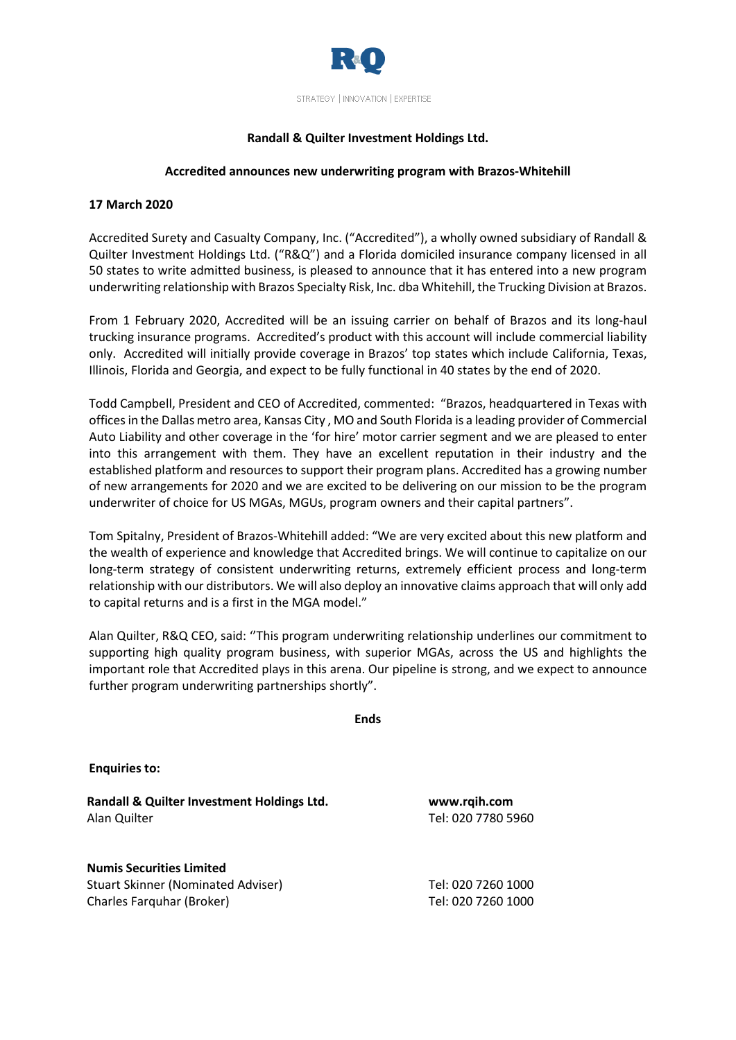

# **Randall & Quilter Investment Holdings Ltd.**

### **Accredited announces new underwriting program with Brazos-Whitehill**

## **17 March 2020**

Accredited Surety and Casualty Company, Inc. ("Accredited"), a wholly owned subsidiary of Randall & Quilter Investment Holdings Ltd. ("R&Q") and a Florida domiciled insurance company licensed in all 50 states to write admitted business, is pleased to announce that it has entered into a new program underwriting relationship with Brazos Specialty Risk, Inc. dba Whitehill, the Trucking Division at Brazos.

From 1 February 2020, Accredited will be an issuing carrier on behalf of Brazos and its long-haul trucking insurance programs. Accredited's product with this account will include commercial liability only. Accredited will initially provide coverage in Brazos' top states which include California, Texas, Illinois, Florida and Georgia, and expect to be fully functional in 40 states by the end of 2020.

Todd Campbell, President and CEO of Accredited, commented: "Brazos, headquartered in Texas with offices in the Dallas metro area, Kansas City , MO and South Florida is a leading provider of Commercial Auto Liability and other coverage in the 'for hire' motor carrier segment and we are pleased to enter into this arrangement with them. They have an excellent reputation in their industry and the established platform and resources to support their program plans. Accredited has a growing number of new arrangements for 2020 and we are excited to be delivering on our mission to be the program underwriter of choice for US MGAs, MGUs, program owners and their capital partners".

Tom Spitalny, President of Brazos-Whitehill added: "We are very excited about this new platform and the wealth of experience and knowledge that Accredited brings. We will continue to capitalize on our long-term strategy of consistent underwriting returns, extremely efficient process and long-term relationship with our distributors. We will also deploy an innovative claims approach that will only add to capital returns and is a first in the MGA model."

Alan Quilter, R&Q CEO, said: ''This program underwriting relationship underlines our commitment to supporting high quality program business, with superior MGAs, across the US and highlights the important role that Accredited plays in this arena. Our pipeline is strong, and we expect to announce further program underwriting partnerships shortly".

|                                                                                                    | <b>Ends</b> |                                          |  |
|----------------------------------------------------------------------------------------------------|-------------|------------------------------------------|--|
| <b>Enquiries to:</b>                                                                               |             |                                          |  |
| Randall & Quilter Investment Holdings Ltd.<br>Alan Quilter                                         |             | www.rqih.com<br>Tel: 020 7780 5960       |  |
| <b>Numis Securities Limited</b><br>Stuart Skinner (Nominated Adviser)<br>Charles Farquhar (Broker) |             | Tel: 020 7260 1000<br>Tel: 020 7260 1000 |  |